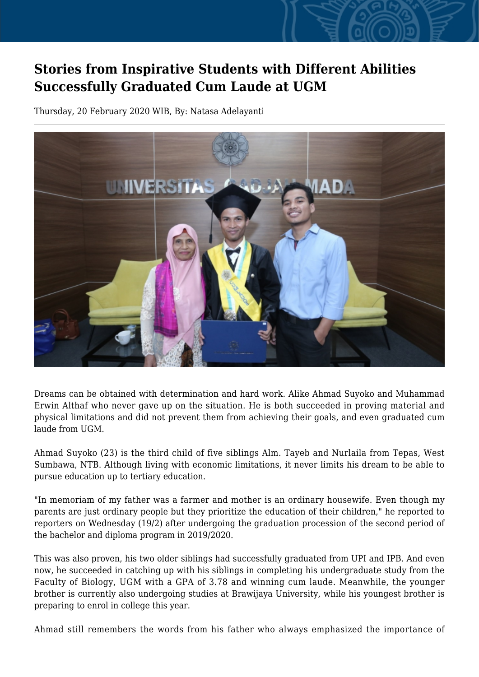## **Stories from Inspirative Students with Different Abilities Successfully Graduated Cum Laude at UGM**

Thursday, 20 February 2020 WIB, By: Natasa Adelayanti



Dreams can be obtained with determination and hard work. Alike Ahmad Suyoko and Muhammad Erwin Althaf who never gave up on the situation. He is both succeeded in proving material and physical limitations and did not prevent them from achieving their goals, and even graduated cum laude from UGM.

Ahmad Suyoko (23) is the third child of five siblings Alm. Tayeb and Nurlaila from Tepas, West Sumbawa, NTB. Although living with economic limitations, it never limits his dream to be able to pursue education up to tertiary education.

"In memoriam of my father was a farmer and mother is an ordinary housewife. Even though my parents are just ordinary people but they prioritize the education of their children," he reported to reporters on Wednesday (19/2) after undergoing the graduation procession of the second period of the bachelor and diploma program in 2019/2020.

This was also proven, his two older siblings had successfully graduated from UPI and IPB. And even now, he succeeded in catching up with his siblings in completing his undergraduate study from the Faculty of Biology, UGM with a GPA of 3.78 and winning cum laude. Meanwhile, the younger brother is currently also undergoing studies at Brawijaya University, while his youngest brother is preparing to enrol in college this year.

Ahmad still remembers the words from his father who always emphasized the importance of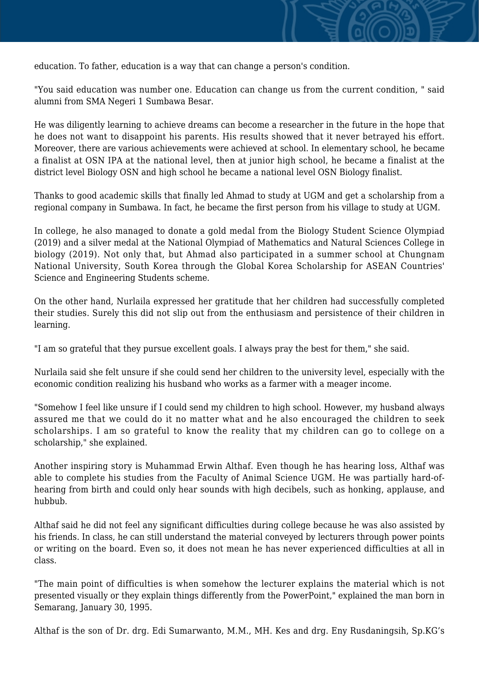education. To father, education is a way that can change a person's condition.

"You said education was number one. Education can change us from the current condition, " said alumni from SMA Negeri 1 Sumbawa Besar.

He was diligently learning to achieve dreams can become a researcher in the future in the hope that he does not want to disappoint his parents. His results showed that it never betrayed his effort. Moreover, there are various achievements were achieved at school. In elementary school, he became a finalist at OSN IPA at the national level, then at junior high school, he became a finalist at the district level Biology OSN and high school he became a national level OSN Biology finalist.

Thanks to good academic skills that finally led Ahmad to study at UGM and get a scholarship from a regional company in Sumbawa. In fact, he became the first person from his village to study at UGM.

In college, he also managed to donate a gold medal from the Biology Student Science Olympiad (2019) and a silver medal at the National Olympiad of Mathematics and Natural Sciences College in biology (2019). Not only that, but Ahmad also participated in a summer school at Chungnam National University, South Korea through the Global Korea Scholarship for ASEAN Countries' Science and Engineering Students scheme.

On the other hand, Nurlaila expressed her gratitude that her children had successfully completed their studies. Surely this did not slip out from the enthusiasm and persistence of their children in learning.

"I am so grateful that they pursue excellent goals. I always pray the best for them," she said.

Nurlaila said she felt unsure if she could send her children to the university level, especially with the economic condition realizing his husband who works as a farmer with a meager income.

"Somehow I feel like unsure if I could send my children to high school. However, my husband always assured me that we could do it no matter what and he also encouraged the children to seek scholarships. I am so grateful to know the reality that my children can go to college on a scholarship," she explained.

Another inspiring story is Muhammad Erwin Althaf. Even though he has hearing loss, Althaf was able to complete his studies from the Faculty of Animal Science UGM. He was partially hard-ofhearing from birth and could only hear sounds with high decibels, such as honking, applause, and hubbub.

Althaf said he did not feel any significant difficulties during college because he was also assisted by his friends. In class, he can still understand the material conveyed by lecturers through power points or writing on the board. Even so, it does not mean he has never experienced difficulties at all in class.

"The main point of difficulties is when somehow the lecturer explains the material which is not presented visually or they explain things differently from the PowerPoint," explained the man born in Semarang, January 30, 1995.

Althaf is the son of Dr. drg. Edi Sumarwanto, M.M., MH. Kes and drg. Eny Rusdaningsih, Sp.KG's